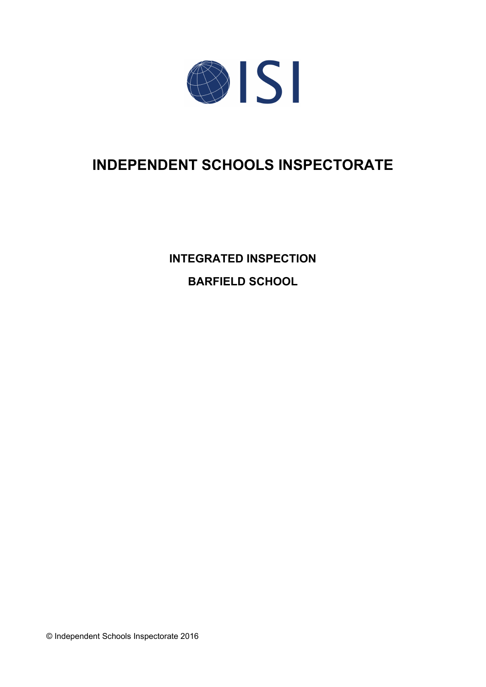

# **INDEPENDENT SCHOOLS INSPECTORATE**

**INTEGRATED INSPECTION BARFIELD SCHOOL**

© Independent Schools Inspectorate 2016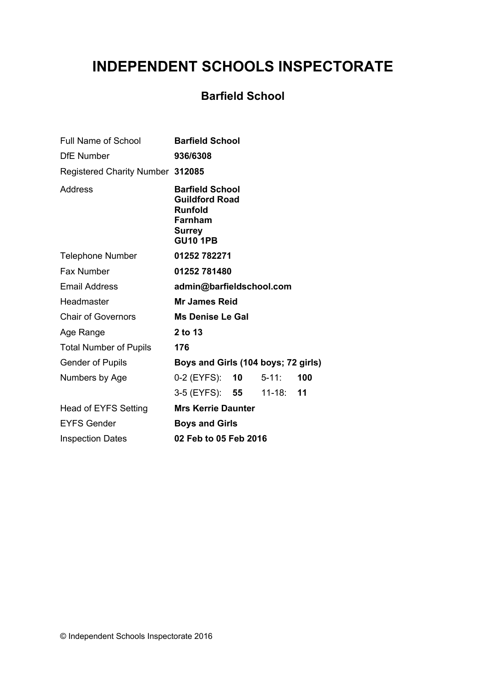# **INDEPENDENT SCHOOLS INSPECTORATE**

# **Barfield School**

| Full Name of School              | <b>Barfield School</b>                                                                                           |     |  |
|----------------------------------|------------------------------------------------------------------------------------------------------------------|-----|--|
| <b>DfE Number</b>                | 936/6308                                                                                                         |     |  |
| Registered Charity Number 312085 |                                                                                                                  |     |  |
| <b>Address</b>                   | <b>Barfield School</b><br><b>Guildford Road</b><br><b>Runfold</b><br>Farnham<br><b>Surrey</b><br><b>GU10 1PB</b> |     |  |
| <b>Telephone Number</b>          | 01252 782271                                                                                                     |     |  |
| <b>Fax Number</b>                | 01252 781480                                                                                                     |     |  |
| <b>Email Address</b>             | admin@barfieldschool.com                                                                                         |     |  |
| Headmaster                       | <b>Mr James Reid</b>                                                                                             |     |  |
| <b>Chair of Governors</b>        | <b>Ms Denise Le Gal</b>                                                                                          |     |  |
| Age Range                        | 2 to 13                                                                                                          |     |  |
| <b>Total Number of Pupils</b>    | 176                                                                                                              |     |  |
| <b>Gender of Pupils</b>          | Boys and Girls (104 boys; 72 girls)                                                                              |     |  |
| Numbers by Age                   | $0-2$ (EYFS): $10$ 5-11:                                                                                         | 100 |  |
|                                  | 3-5 (EYFS): 55 11-18:                                                                                            | 11  |  |
| Head of EYFS Setting             | <b>Mrs Kerrie Daunter</b>                                                                                        |     |  |
| <b>EYFS Gender</b>               | <b>Boys and Girls</b>                                                                                            |     |  |
| <b>Inspection Dates</b>          | 02 Feb to 05 Feb 2016                                                                                            |     |  |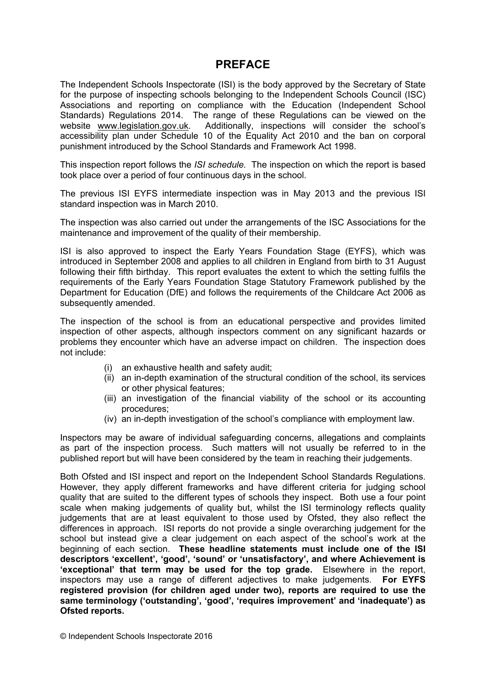### **PREFACE**

The Independent Schools Inspectorate (ISI) is the body approved by the Secretary of State for the purpose of inspecting schools belonging to the Independent Schools Council (ISC) Associations and reporting on compliance with the Education (Independent School Standards) Regulations 2014. The range of these Regulations can be viewed on the website [www.legislation.gov.uk.](http://www.legislation.gov.uk) Additionally, inspections will consider the school's accessibility plan under Schedule 10 of the Equality Act 2010 and the ban on corporal punishment introduced by the School Standards and Framework Act 1998.

This inspection report follows the *ISI schedule.* The inspection on which the report is based took place over a period of four continuous days in the school.

The previous ISI EYFS intermediate inspection was in May 2013 and the previous ISI standard inspection was in March 2010.

The inspection was also carried out under the arrangements of the ISC Associations for the maintenance and improvement of the quality of their membership.

ISI is also approved to inspect the Early Years Foundation Stage (EYFS), which was introduced in September 2008 and applies to all children in England from birth to 31 August following their fifth birthday. This report evaluates the extent to which the setting fulfils the requirements of the Early Years Foundation Stage Statutory Framework published by the Department for Education (DfE) and follows the requirements of the Childcare Act 2006 as subsequently amended.

The inspection of the school is from an educational perspective and provides limited inspection of other aspects, although inspectors comment on any significant hazards or problems they encounter which have an adverse impact on children. The inspection does not include:

- (i) an exhaustive health and safety audit;
- (ii) an in-depth examination of the structural condition of the school, its services or other physical features;
- (iii) an investigation of the financial viability of the school or its accounting procedures;
- (iv) an in-depth investigation of the school's compliance with employment law.

Inspectors may be aware of individual safeguarding concerns, allegations and complaints as part of the inspection process. Such matters will not usually be referred to in the published report but will have been considered by the team in reaching their judgements.

Both Ofsted and ISI inspect and report on the Independent School Standards Regulations. However, they apply different frameworks and have different criteria for judging school quality that are suited to the different types of schools they inspect. Both use a four point scale when making judgements of quality but, whilst the ISI terminology reflects quality judgements that are at least equivalent to those used by Ofsted, they also reflect the differences in approach. ISI reports do not provide a single overarching judgement for the school but instead give a clear judgement on each aspect of the school's work at the beginning of each section. **These headline statements must include one of the ISI descriptors 'excellent', 'good', 'sound' or 'unsatisfactory', and where Achievement is 'exceptional' that term may be used for the top grade.** Elsewhere in the report, inspectors may use a range of different adjectives to make judgements. **For EYFS registered provision (for children aged under two), reports are required to use the same terminology ('outstanding', 'good', 'requires improvement' and 'inadequate') as Ofsted reports.**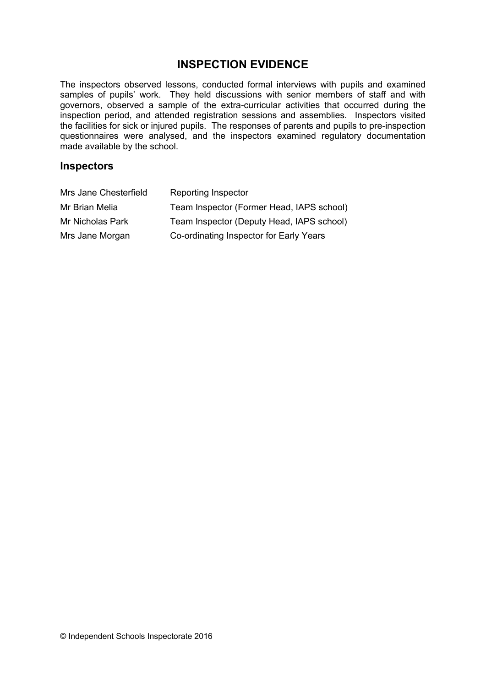### **INSPECTION EVIDENCE**

The inspectors observed lessons, conducted formal interviews with pupils and examined samples of pupils' work. They held discussions with senior members of staff and with governors, observed a sample of the extra-curricular activities that occurred during the inspection period, and attended registration sessions and assemblies. Inspectors visited the facilities for sick or injured pupils. The responses of parents and pupils to pre-inspection questionnaires were analysed, and the inspectors examined regulatory documentation made available by the school.

#### **Inspectors**

| Mrs Jane Chesterfield | Reporting Inspector                       |
|-----------------------|-------------------------------------------|
| Mr Brian Melia        | Team Inspector (Former Head, IAPS school) |
| Mr Nicholas Park      | Team Inspector (Deputy Head, IAPS school) |
| Mrs Jane Morgan       | Co-ordinating Inspector for Early Years   |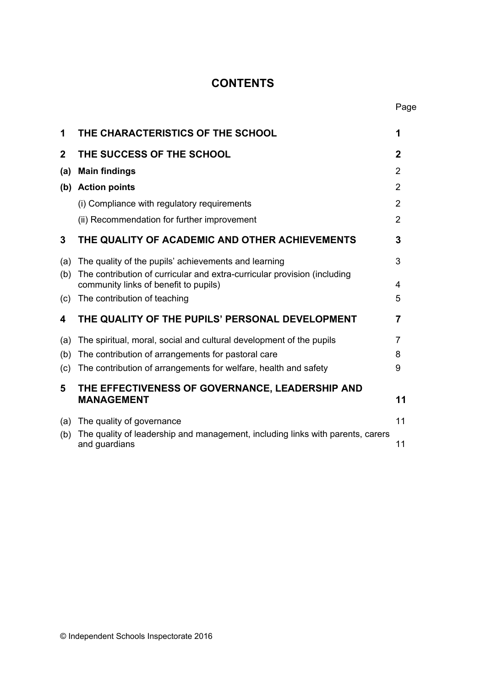## **CONTENTS**

| 1              | THE CHARACTERISTICS OF THE SCHOOL                                                                                 | 1              |
|----------------|-------------------------------------------------------------------------------------------------------------------|----------------|
| $\overline{2}$ | THE SUCCESS OF THE SCHOOL                                                                                         | $\mathbf 2$    |
| (a)            | <b>Main findings</b>                                                                                              | $\overline{2}$ |
| (b)            | <b>Action points</b>                                                                                              | $\overline{2}$ |
|                | (i) Compliance with regulatory requirements                                                                       | 2              |
|                | (ii) Recommendation for further improvement                                                                       | $\overline{2}$ |
| 3              | THE QUALITY OF ACADEMIC AND OTHER ACHIEVEMENTS                                                                    | 3              |
| (a)            | The quality of the pupils' achievements and learning                                                              | 3              |
| (b)            | The contribution of curricular and extra-curricular provision (including<br>community links of benefit to pupils) | 4              |
| (c)            | The contribution of teaching                                                                                      | 5              |
| 4              | THE QUALITY OF THE PUPILS' PERSONAL DEVELOPMENT                                                                   | 7              |
| (a)            | The spiritual, moral, social and cultural development of the pupils                                               | 7              |
| (b)            | The contribution of arrangements for pastoral care                                                                | 8              |
| (c)            | The contribution of arrangements for welfare, health and safety                                                   | 9              |
| 5              | THE EFFECTIVENESS OF GOVERNANCE, LEADERSHIP AND                                                                   |                |
|                | <b>MANAGEMENT</b>                                                                                                 | 11             |
| (a)            | The quality of governance                                                                                         | 11             |
| (b)            | The quality of leadership and management, including links with parents, carers<br>and guardians                   | 11             |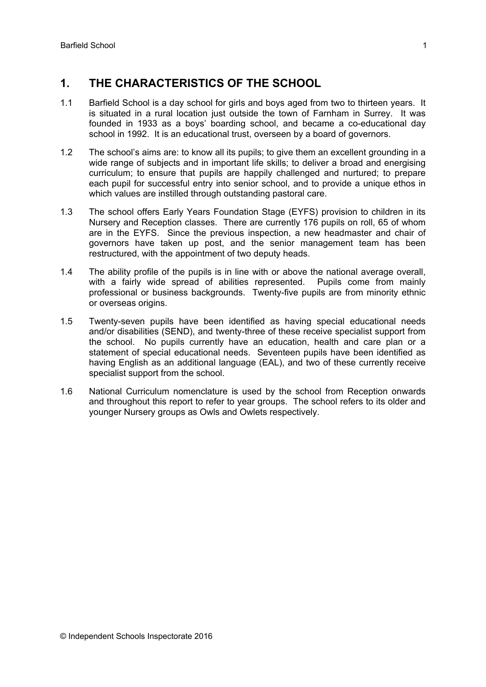### **1. THE CHARACTERISTICS OF THE SCHOOL**

- 1.1 Barfield School is a day school for girls and boys aged from two to thirteen years. It is situated in a rural location just outside the town of Farnham in Surrey. It was founded in 1933 as a boys' boarding school, and became a co-educational day school in 1992. It is an educational trust, overseen by a board of governors.
- 1.2 The school's aims are: to know all its pupils; to give them an excellent grounding in a wide range of subjects and in important life skills; to deliver a broad and energising curriculum; to ensure that pupils are happily challenged and nurtured; to prepare each pupil for successful entry into senior school, and to provide a unique ethos in which values are instilled through outstanding pastoral care.
- 1.3 The school offers Early Years Foundation Stage (EYFS) provision to children in its Nursery and Reception classes. There are currently 176 pupils on roll, 65 of whom are in the EYFS. Since the previous inspection, a new headmaster and chair of governors have taken up post, and the senior management team has been restructured, with the appointment of two deputy heads.
- 1.4 The ability profile of the pupils is in line with or above the national average overall, with a fairly wide spread of abilities represented. Pupils come from mainly professional or business backgrounds. Twenty-five pupils are from minority ethnic or overseas origins.
- 1.5 Twenty-seven pupils have been identified as having special educational needs and/or disabilities (SEND), and twenty-three of these receive specialist support from the school. No pupils currently have an education, health and care plan or a statement of special educational needs. Seventeen pupils have been identified as having English as an additional language (EAL), and two of these currently receive specialist support from the school.
- 1.6 National Curriculum nomenclature is used by the school from Reception onwards and throughout this report to refer to year groups. The school refers to its older and younger Nursery groups as Owls and Owlets respectively.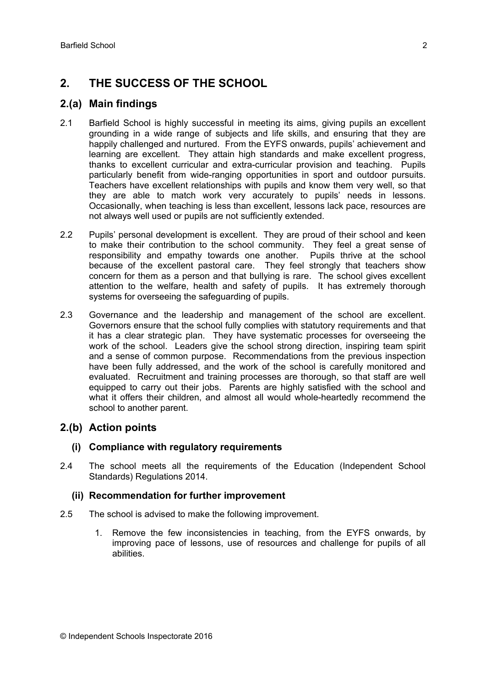## **2. THE SUCCESS OF THE SCHOOL**

### **2.(a) Main findings**

- 2.1 Barfield School is highly successful in meeting its aims, giving pupils an excellent grounding in a wide range of subjects and life skills, and ensuring that they are happily challenged and nurtured. From the EYFS onwards, pupils' achievement and learning are excellent. They attain high standards and make excellent progress, thanks to excellent curricular and extra-curricular provision and teaching. Pupils particularly benefit from wide-ranging opportunities in sport and outdoor pursuits. Teachers have excellent relationships with pupils and know them very well, so that they are able to match work very accurately to pupils' needs in lessons. Occasionally, when teaching is less than excellent, lessons lack pace, resources are not always well used or pupils are not sufficiently extended.
- 2.2 Pupils' personal development is excellent. They are proud of their school and keen to make their contribution to the school community. They feel a great sense of responsibility and empathy towards one another. Pupils thrive at the school because of the excellent pastoral care. They feel strongly that teachers show concern for them as a person and that bullying is rare. The school gives excellent attention to the welfare, health and safety of pupils. It has extremely thorough systems for overseeing the safeguarding of pupils.
- 2.3 Governance and the leadership and management of the school are excellent. Governors ensure that the school fully complies with statutory requirements and that it has a clear strategic plan. They have systematic processes for overseeing the work of the school. Leaders give the school strong direction, inspiring team spirit and a sense of common purpose. Recommendations from the previous inspection have been fully addressed, and the work of the school is carefully monitored and evaluated. Recruitment and training processes are thorough, so that staff are well equipped to carry out their jobs. Parents are highly satisfied with the school and what it offers their children, and almost all would whole-heartedly recommend the school to another parent.

### **2.(b) Action points**

#### **(i) Compliance with regulatory requirements**

2.4 The school meets all the requirements of the Education (Independent School Standards) Regulations 2014.

#### **(ii) Recommendation for further improvement**

- 2.5 The school is advised to make the following improvement.
	- 1. Remove the few inconsistencies in teaching, from the EYFS onwards, by improving pace of lessons, use of resources and challenge for pupils of all abilities.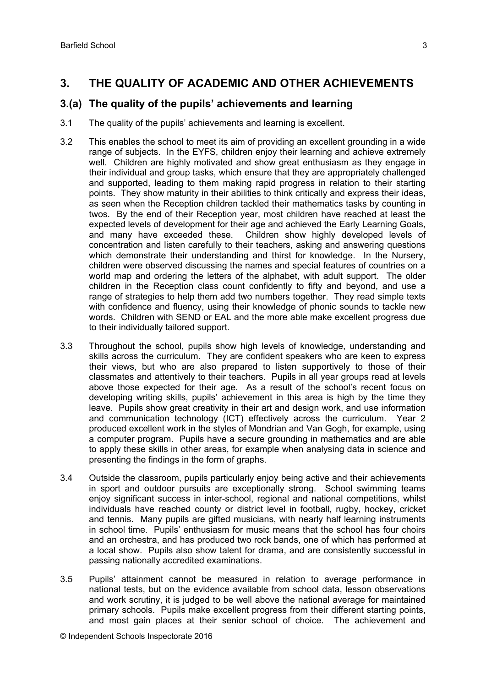### **3. THE QUALITY OF ACADEMIC AND OTHER ACHIEVEMENTS**

### **3.(a) The quality of the pupils' achievements and learning**

- 3.1 The quality of the pupils' achievements and learning is excellent.
- 3.2 This enables the school to meet its aim of providing an excellent grounding in a wide range of subjects. In the EYFS, children enjoy their learning and achieve extremely well. Children are highly motivated and show great enthusiasm as they engage in their individual and group tasks, which ensure that they are appropriately challenged and supported, leading to them making rapid progress in relation to their starting points. They show maturity in their abilities to think critically and express their ideas, as seen when the Reception children tackled their mathematics tasks by counting in twos. By the end of their Reception year, most children have reached at least the expected levels of development for their age and achieved the Early Learning Goals, and many have exceeded these. Children show highly developed levels of concentration and listen carefully to their teachers, asking and answering questions which demonstrate their understanding and thirst for knowledge. In the Nursery, children were observed discussing the names and special features of countries on a world map and ordering the letters of the alphabet, with adult support. The older children in the Reception class count confidently to fifty and beyond, and use a range of strategies to help them add two numbers together. They read simple texts with confidence and fluency, using their knowledge of phonic sounds to tackle new words. Children with SEND or EAL and the more able make excellent progress due to their individually tailored support.
- 3.3 Throughout the school, pupils show high levels of knowledge, understanding and skills across the curriculum. They are confident speakers who are keen to express their views, but who are also prepared to listen supportively to those of their classmates and attentively to their teachers. Pupils in all year groups read at levels above those expected for their age. As a result of the school's recent focus on developing writing skills, pupils' achievement in this area is high by the time they leave. Pupils show great creativity in their art and design work, and use information and communication technology (ICT) effectively across the curriculum. Year 2 produced excellent work in the styles of Mondrian and Van Gogh, for example, using a computer program. Pupils have a secure grounding in mathematics and are able to apply these skills in other areas, for example when analysing data in science and presenting the findings in the form of graphs.
- 3.4 Outside the classroom, pupils particularly enjoy being active and their achievements in sport and outdoor pursuits are exceptionally strong. School swimming teams enjoy significant success in inter-school, regional and national competitions, whilst individuals have reached county or district level in football, rugby, hockey, cricket and tennis. Many pupils are gifted musicians, with nearly half learning instruments in school time. Pupils' enthusiasm for music means that the school has four choirs and an orchestra, and has produced two rock bands, one of which has performed at a local show. Pupils also show talent for drama, and are consistently successful in passing nationally accredited examinations.
- 3.5 Pupils' attainment cannot be measured in relation to average performance in national tests, but on the evidence available from school data, lesson observations and work scrutiny, it is judged to be well above the national average for maintained primary schools. Pupils make excellent progress from their different starting points, and most gain places at their senior school of choice. The achievement and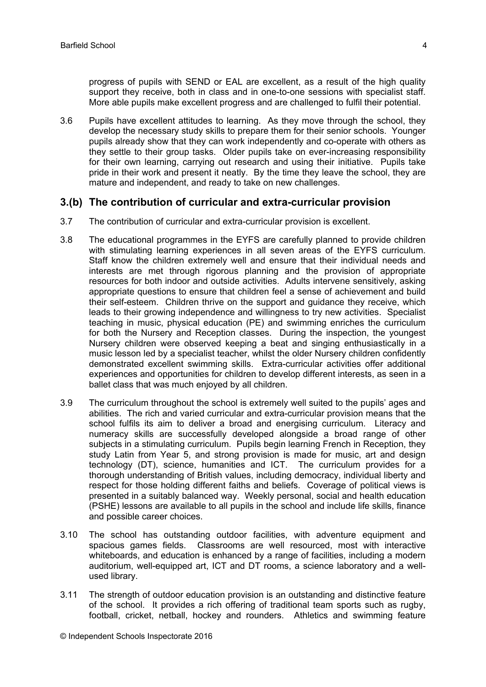progress of pupils with SEND or EAL are excellent, as a result of the high quality support they receive, both in class and in one-to-one sessions with specialist staff. More able pupils make excellent progress and are challenged to fulfil their potential.

3.6 Pupils have excellent attitudes to learning. As they move through the school, they develop the necessary study skills to prepare them for their senior schools. Younger pupils already show that they can work independently and co-operate with others as they settle to their group tasks. Older pupils take on ever-increasing responsibility for their own learning, carrying out research and using their initiative. Pupils take pride in their work and present it neatly. By the time they leave the school, they are mature and independent, and ready to take on new challenges.

#### **3.(b) The contribution of curricular and extra-curricular provision**

- 3.7 The contribution of curricular and extra-curricular provision is excellent.
- 3.8 The educational programmes in the EYFS are carefully planned to provide children with stimulating learning experiences in all seven areas of the EYFS curriculum. Staff know the children extremely well and ensure that their individual needs and interests are met through rigorous planning and the provision of appropriate resources for both indoor and outside activities. Adults intervene sensitively, asking appropriate questions to ensure that children feel a sense of achievement and build their self-esteem. Children thrive on the support and guidance they receive, which leads to their growing independence and willingness to try new activities. Specialist teaching in music, physical education (PE) and swimming enriches the curriculum for both the Nursery and Reception classes. During the inspection, the youngest Nursery children were observed keeping a beat and singing enthusiastically in a music lesson led by a specialist teacher, whilst the older Nursery children confidently demonstrated excellent swimming skills. Extra-curricular activities offer additional experiences and opportunities for children to develop different interests, as seen in a ballet class that was much enjoyed by all children.
- 3.9 The curriculum throughout the school is extremely well suited to the pupils' ages and abilities. The rich and varied curricular and extra-curricular provision means that the school fulfils its aim to deliver a broad and energising curriculum. Literacy and numeracy skills are successfully developed alongside a broad range of other subjects in a stimulating curriculum. Pupils begin learning French in Reception, they study Latin from Year 5, and strong provision is made for music, art and design technology (DT), science, humanities and ICT. The curriculum provides for a thorough understanding of British values, including democracy, individual liberty and respect for those holding different faiths and beliefs. Coverage of political views is presented in a suitably balanced way. Weekly personal, social and health education (PSHE) lessons are available to all pupils in the school and include life skills, finance and possible career choices.
- 3.10 The school has outstanding outdoor facilities, with adventure equipment and spacious games fields. Classrooms are well resourced, most with interactive whiteboards, and education is enhanced by a range of facilities, including a modern auditorium, well-equipped art, ICT and DT rooms, a science laboratory and a wellused library.
- 3.11 The strength of outdoor education provision is an outstanding and distinctive feature of the school. It provides a rich offering of traditional team sports such as rugby, football, cricket, netball, hockey and rounders. Athletics and swimming feature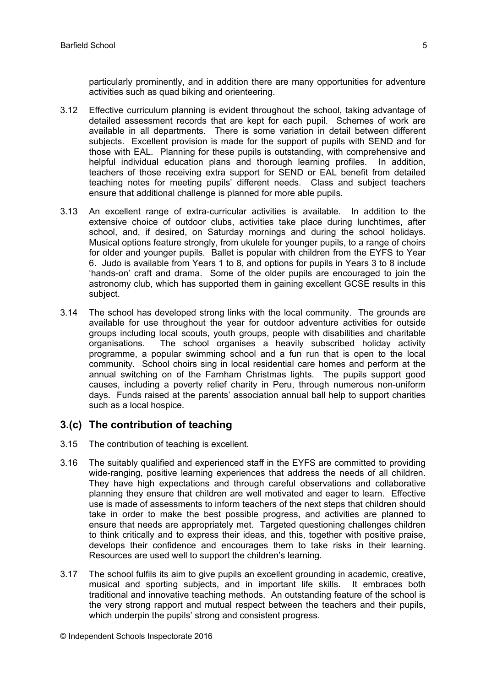particularly prominently, and in addition there are many opportunities for adventure activities such as quad biking and orienteering.

- 3.12 Effective curriculum planning is evident throughout the school, taking advantage of detailed assessment records that are kept for each pupil. Schemes of work are available in all departments. There is some variation in detail between different subjects. Excellent provision is made for the support of pupils with SEND and for those with EAL. Planning for these pupils is outstanding, with comprehensive and helpful individual education plans and thorough learning profiles. In addition, teachers of those receiving extra support for SEND or EAL benefit from detailed teaching notes for meeting pupils' different needs. Class and subject teachers ensure that additional challenge is planned for more able pupils.
- 3.13 An excellent range of extra-curricular activities is available. In addition to the extensive choice of outdoor clubs, activities take place during lunchtimes, after school, and, if desired, on Saturday mornings and during the school holidays. Musical options feature strongly, from ukulele for younger pupils, to a range of choirs for older and younger pupils. Ballet is popular with children from the EYFS to Year 6. Judo is available from Years 1 to 8, and options for pupils in Years 3 to 8 include 'hands-on' craft and drama. Some of the older pupils are encouraged to join the astronomy club, which has supported them in gaining excellent GCSE results in this subject.
- 3.14 The school has developed strong links with the local community. The grounds are available for use throughout the year for outdoor adventure activities for outside groups including local scouts, youth groups, people with disabilities and charitable organisations. The school organises a heavily subscribed holiday activity programme, a popular swimming school and a fun run that is open to the local community. School choirs sing in local residential care homes and perform at the annual switching on of the Farnham Christmas lights. The pupils support good causes, including a poverty relief charity in Peru, through numerous non-uniform days. Funds raised at the parents' association annual ball help to support charities such as a local hospice.

### **3.(c) The contribution of teaching**

- 3.15 The contribution of teaching is excellent.
- 3.16 The suitably qualified and experienced staff in the EYFS are committed to providing wide-ranging, positive learning experiences that address the needs of all children. They have high expectations and through careful observations and collaborative planning they ensure that children are well motivated and eager to learn. Effective use is made of assessments to inform teachers of the next steps that children should take in order to make the best possible progress, and activities are planned to ensure that needs are appropriately met. Targeted questioning challenges children to think critically and to express their ideas, and this, together with positive praise, develops their confidence and encourages them to take risks in their learning. Resources are used well to support the children's learning.
- 3.17 The school fulfils its aim to give pupils an excellent grounding in academic, creative, musical and sporting subjects, and in important life skills. It embraces both traditional and innovative teaching methods. An outstanding feature of the school is the very strong rapport and mutual respect between the teachers and their pupils, which underpin the pupils' strong and consistent progress.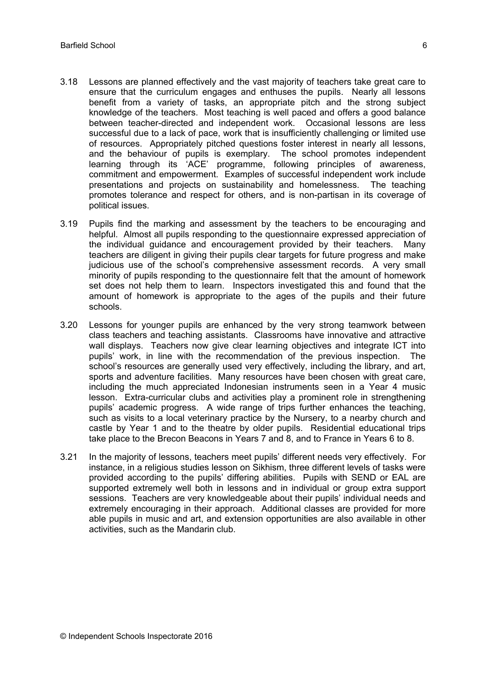- 3.18 Lessons are planned effectively and the vast majority of teachers take great care to ensure that the curriculum engages and enthuses the pupils. Nearly all lessons benefit from a variety of tasks, an appropriate pitch and the strong subject knowledge of the teachers. Most teaching is well paced and offers a good balance between teacher-directed and independent work. Occasional lessons are less successful due to a lack of pace, work that is insufficiently challenging or limited use of resources. Appropriately pitched questions foster interest in nearly all lessons, and the behaviour of pupils is exemplary. The school promotes independent learning through its 'ACE' programme, following principles of awareness, commitment and empowerment. Examples of successful independent work include presentations and projects on sustainability and homelessness. The teaching promotes tolerance and respect for others, and is non-partisan in its coverage of political issues.
- 3.19 Pupils find the marking and assessment by the teachers to be encouraging and helpful. Almost all pupils responding to the questionnaire expressed appreciation of the individual guidance and encouragement provided by their teachers. Many teachers are diligent in giving their pupils clear targets for future progress and make judicious use of the school's comprehensive assessment records. A very small minority of pupils responding to the questionnaire felt that the amount of homework set does not help them to learn. Inspectors investigated this and found that the amount of homework is appropriate to the ages of the pupils and their future schools.
- 3.20 Lessons for younger pupils are enhanced by the very strong teamwork between class teachers and teaching assistants. Classrooms have innovative and attractive wall displays. Teachers now give clear learning objectives and integrate ICT into pupils' work, in line with the recommendation of the previous inspection. The school's resources are generally used very effectively, including the library, and art, sports and adventure facilities. Many resources have been chosen with great care, including the much appreciated Indonesian instruments seen in a Year 4 music lesson. Extra-curricular clubs and activities play a prominent role in strengthening pupils' academic progress. A wide range of trips further enhances the teaching, such as visits to a local veterinary practice by the Nursery, to a nearby church and castle by Year 1 and to the theatre by older pupils. Residential educational trips take place to the Brecon Beacons in Years 7 and 8, and to France in Years 6 to 8.
- 3.21 In the majority of lessons, teachers meet pupils' different needs very effectively. For instance, in a religious studies lesson on Sikhism, three different levels of tasks were provided according to the pupils' differing abilities. Pupils with SEND or EAL are supported extremely well both in lessons and in individual or group extra support sessions. Teachers are very knowledgeable about their pupils' individual needs and extremely encouraging in their approach. Additional classes are provided for more able pupils in music and art, and extension opportunities are also available in other activities, such as the Mandarin club.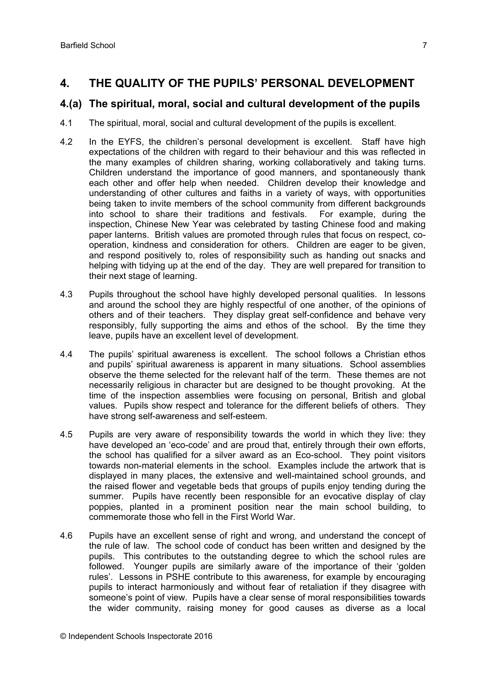### **4. THE QUALITY OF THE PUPILS' PERSONAL DEVELOPMENT**

### **4.(a) The spiritual, moral, social and cultural development of the pupils**

- 4.1 The spiritual, moral, social and cultural development of the pupils is excellent.
- 4.2 In the EYFS, the children's personal development is excellent. Staff have high expectations of the children with regard to their behaviour and this was reflected in the many examples of children sharing, working collaboratively and taking turns. Children understand the importance of good manners, and spontaneously thank each other and offer help when needed. Children develop their knowledge and understanding of other cultures and faiths in a variety of ways, with opportunities being taken to invite members of the school community from different backgrounds into school to share their traditions and festivals. For example, during the inspection, Chinese New Year was celebrated by tasting Chinese food and making paper lanterns. British values are promoted through rules that focus on respect, cooperation, kindness and consideration for others. Children are eager to be given, and respond positively to, roles of responsibility such as handing out snacks and helping with tidying up at the end of the day. They are well prepared for transition to their next stage of learning.
- 4.3 Pupils throughout the school have highly developed personal qualities. In lessons and around the school they are highly respectful of one another, of the opinions of others and of their teachers. They display great self-confidence and behave very responsibly, fully supporting the aims and ethos of the school. By the time they leave, pupils have an excellent level of development.
- 4.4 The pupils' spiritual awareness is excellent. The school follows a Christian ethos and pupils' spiritual awareness is apparent in many situations. School assemblies observe the theme selected for the relevant half of the term. These themes are not necessarily religious in character but are designed to be thought provoking. At the time of the inspection assemblies were focusing on personal, British and global values. Pupils show respect and tolerance for the different beliefs of others. They have strong self-awareness and self-esteem.
- 4.5 Pupils are very aware of responsibility towards the world in which they live: they have developed an 'eco-code' and are proud that, entirely through their own efforts, the school has qualified for a silver award as an Eco-school. They point visitors towards non-material elements in the school. Examples include the artwork that is displayed in many places, the extensive and well-maintained school grounds, and the raised flower and vegetable beds that groups of pupils enjoy tending during the summer. Pupils have recently been responsible for an evocative display of clay poppies, planted in a prominent position near the main school building, to commemorate those who fell in the First World War.
- 4.6 Pupils have an excellent sense of right and wrong, and understand the concept of the rule of law. The school code of conduct has been written and designed by the pupils. This contributes to the outstanding degree to which the school rules are followed. Younger pupils are similarly aware of the importance of their 'golden rules'. Lessons in PSHE contribute to this awareness, for example by encouraging pupils to interact harmoniously and without fear of retaliation if they disagree with someone's point of view. Pupils have a clear sense of moral responsibilities towards the wider community, raising money for good causes as diverse as a local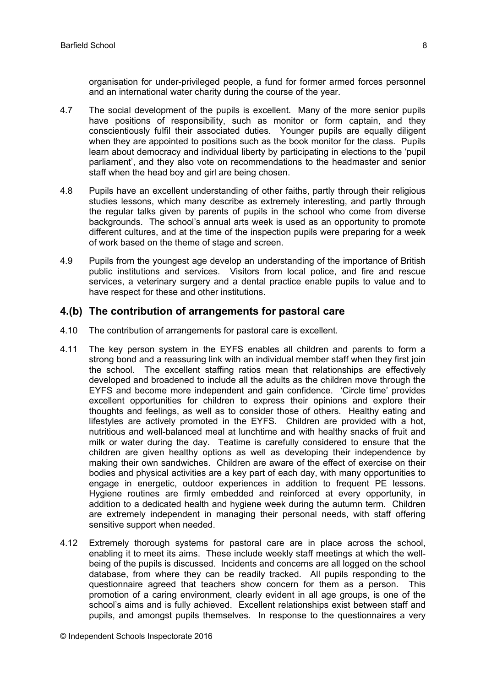organisation for under-privileged people, a fund for former armed forces personnel and an international water charity during the course of the year.

- 4.7 The social development of the pupils is excellent. Many of the more senior pupils have positions of responsibility, such as monitor or form captain, and they conscientiously fulfil their associated duties. Younger pupils are equally diligent when they are appointed to positions such as the book monitor for the class. Pupils learn about democracy and individual liberty by participating in elections to the 'pupil parliament', and they also vote on recommendations to the headmaster and senior staff when the head boy and girl are being chosen.
- 4.8 Pupils have an excellent understanding of other faiths, partly through their religious studies lessons, which many describe as extremely interesting, and partly through the regular talks given by parents of pupils in the school who come from diverse backgrounds. The school's annual arts week is used as an opportunity to promote different cultures, and at the time of the inspection pupils were preparing for a week of work based on the theme of stage and screen.
- 4.9 Pupils from the youngest age develop an understanding of the importance of British public institutions and services. Visitors from local police, and fire and rescue services, a veterinary surgery and a dental practice enable pupils to value and to have respect for these and other institutions.

#### **4.(b) The contribution of arrangements for pastoral care**

- 4.10 The contribution of arrangements for pastoral care is excellent.
- 4.11 The key person system in the EYFS enables all children and parents to form a strong bond and a reassuring link with an individual member staff when they first join the school. The excellent staffing ratios mean that relationships are effectively developed and broadened to include all the adults as the children move through the EYFS and become more independent and gain confidence. 'Circle time' provides excellent opportunities for children to express their opinions and explore their thoughts and feelings, as well as to consider those of others. Healthy eating and lifestyles are actively promoted in the EYFS. Children are provided with a hot, nutritious and well-balanced meal at lunchtime and with healthy snacks of fruit and milk or water during the day. Teatime is carefully considered to ensure that the children are given healthy options as well as developing their independence by making their own sandwiches. Children are aware of the effect of exercise on their bodies and physical activities are a key part of each day, with many opportunities to engage in energetic, outdoor experiences in addition to frequent PE lessons. Hygiene routines are firmly embedded and reinforced at every opportunity, in addition to a dedicated health and hygiene week during the autumn term. Children are extremely independent in managing their personal needs, with staff offering sensitive support when needed.
- 4.12 Extremely thorough systems for pastoral care are in place across the school, enabling it to meet its aims. These include weekly staff meetings at which the wellbeing of the pupils is discussed. Incidents and concerns are all logged on the school database, from where they can be readily tracked. All pupils responding to the questionnaire agreed that teachers show concern for them as a person. This promotion of a caring environment, clearly evident in all age groups, is one of the school's aims and is fully achieved. Excellent relationships exist between staff and pupils, and amongst pupils themselves. In response to the questionnaires a very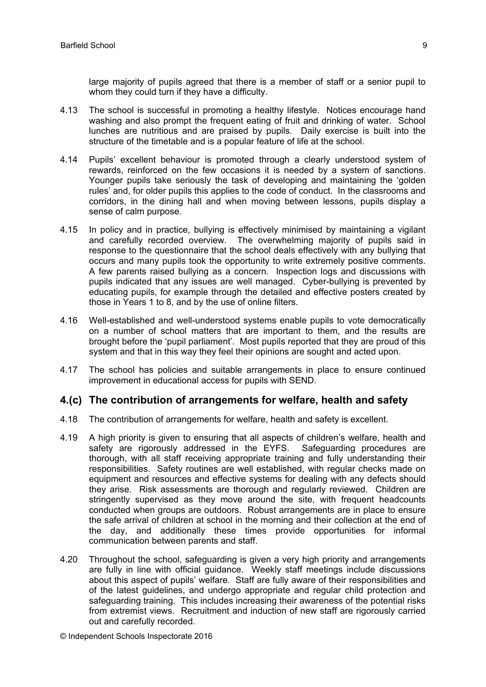large majority of pupils agreed that there is a member of staff or a senior pupil to whom they could turn if they have a difficulty.

- 4.13 The school is successful in promoting a healthy lifestyle. Notices encourage hand washing and also prompt the frequent eating of fruit and drinking of water. School lunches are nutritious and are praised by pupils. Daily exercise is built into the structure of the timetable and is a popular feature of life at the school.
- 4.14 Pupils' excellent behaviour is promoted through a clearly understood system of rewards, reinforced on the few occasions it is needed by a system of sanctions. Younger pupils take seriously the task of developing and maintaining the 'golden rules' and, for older pupils this applies to the code of conduct. In the classrooms and corridors, in the dining hall and when moving between lessons, pupils display a sense of calm purpose.
- 4.15 In policy and in practice, bullying is effectively minimised by maintaining a vigilant and carefully recorded overview. The overwhelming majority of pupils said in response to the questionnaire that the school deals effectively with any bullying that occurs and many pupils took the opportunity to write extremely positive comments. A few parents raised bullying as a concern. Inspection logs and discussions with pupils indicated that any issues are well managed. Cyber-bullying is prevented by educating pupils, for example through the detailed and effective posters created by those in Years 1 to 8, and by the use of online filters.
- 4.16 Well-established and well-understood systems enable pupils to vote democratically on a number of school matters that are important to them, and the results are brought before the 'pupil parliament'. Most pupils reported that they are proud of this system and that in this way they feel their opinions are sought and acted upon.
- 4.17 The school has policies and suitable arrangements in place to ensure continued improvement in educational access for pupils with SEND.

#### **4.(c) The contribution of arrangements for welfare, health and safety**

- 4.18 The contribution of arrangements for welfare, health and safety is excellent.
- 4.19 A high priority is given to ensuring that all aspects of children's welfare, health and safety are rigorously addressed in the EYFS. Safeguarding procedures are thorough, with all staff receiving appropriate training and fully understanding their responsibilities. Safety routines are well established, with regular checks made on equipment and resources and effective systems for dealing with any defects should they arise. Risk assessments are thorough and regularly reviewed. Children are stringently supervised as they move around the site, with frequent headcounts conducted when groups are outdoors. Robust arrangements are in place to ensure the safe arrival of children at school in the morning and their collection at the end of the day, and additionally these times provide opportunities for informal communication between parents and staff.
- 4.20 Throughout the school, safeguarding is given a very high priority and arrangements are fully in line with official guidance. Weekly staff meetings include discussions about this aspect of pupils' welfare. Staff are fully aware of their responsibilities and of the latest guidelines, and undergo appropriate and regular child protection and safeguarding training. This includes increasing their awareness of the potential risks from extremist views. Recruitment and induction of new staff are rigorously carried out and carefully recorded.

© Independent Schools Inspectorate 2016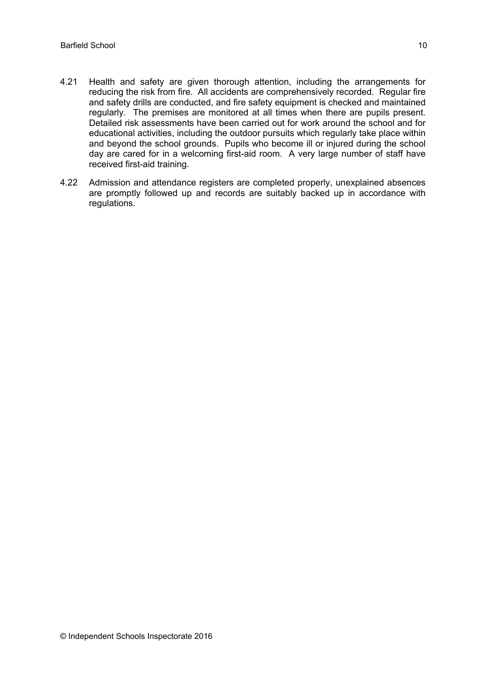- 4.21 Health and safety are given thorough attention, including the arrangements for reducing the risk from fire. All accidents are comprehensively recorded. Regular fire and safety drills are conducted, and fire safety equipment is checked and maintained regularly. The premises are monitored at all times when there are pupils present. Detailed risk assessments have been carried out for work around the school and for educational activities, including the outdoor pursuits which regularly take place within and beyond the school grounds. Pupils who become ill or injured during the school day are cared for in a welcoming first-aid room. A very large number of staff have received first-aid training.
- 4.22 Admission and attendance registers are completed properly, unexplained absences are promptly followed up and records are suitably backed up in accordance with regulations.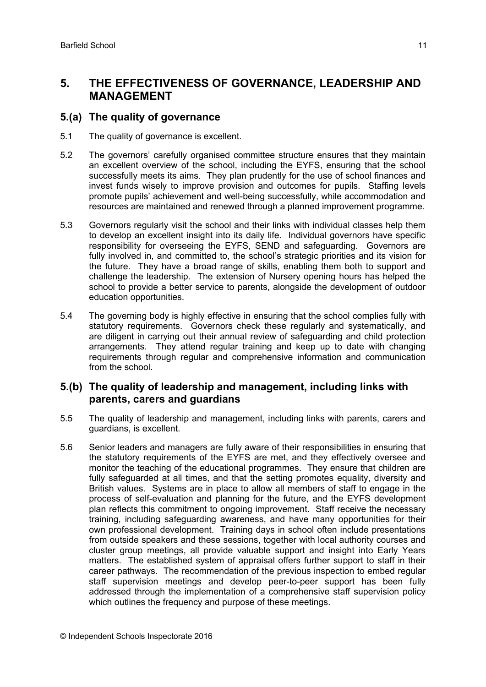### **5. THE EFFECTIVENESS OF GOVERNANCE, LEADERSHIP AND MANAGEMENT**

#### **5.(a) The quality of governance**

- 5.1 The quality of governance is excellent.
- 5.2 The governors' carefully organised committee structure ensures that they maintain an excellent overview of the school, including the EYFS, ensuring that the school successfully meets its aims. They plan prudently for the use of school finances and invest funds wisely to improve provision and outcomes for pupils. Staffing levels promote pupils' achievement and well-being successfully, while accommodation and resources are maintained and renewed through a planned improvement programme.
- 5.3 Governors regularly visit the school and their links with individual classes help them to develop an excellent insight into its daily life. Individual governors have specific responsibility for overseeing the EYFS, SEND and safeguarding. Governors are fully involved in, and committed to, the school's strategic priorities and its vision for the future. They have a broad range of skills, enabling them both to support and challenge the leadership. The extension of Nursery opening hours has helped the school to provide a better service to parents, alongside the development of outdoor education opportunities.
- 5.4 The governing body is highly effective in ensuring that the school complies fully with statutory requirements. Governors check these regularly and systematically, and are diligent in carrying out their annual review of safeguarding and child protection arrangements. They attend regular training and keep up to date with changing requirements through regular and comprehensive information and communication from the school.

#### **5.(b) The quality of leadership and management, including links with parents, carers and guardians**

- 5.5 The quality of leadership and management, including links with parents, carers and guardians, is excellent.
- 5.6 Senior leaders and managers are fully aware of their responsibilities in ensuring that the statutory requirements of the EYFS are met, and they effectively oversee and monitor the teaching of the educational programmes. They ensure that children are fully safeguarded at all times, and that the setting promotes equality, diversity and British values. Systems are in place to allow all members of staff to engage in the process of self-evaluation and planning for the future, and the EYFS development plan reflects this commitment to ongoing improvement. Staff receive the necessary training, including safeguarding awareness, and have many opportunities for their own professional development. Training days in school often include presentations from outside speakers and these sessions, together with local authority courses and cluster group meetings, all provide valuable support and insight into Early Years matters. The established system of appraisal offers further support to staff in their career pathways. The recommendation of the previous inspection to embed regular staff supervision meetings and develop peer-to-peer support has been fully addressed through the implementation of a comprehensive staff supervision policy which outlines the frequency and purpose of these meetings.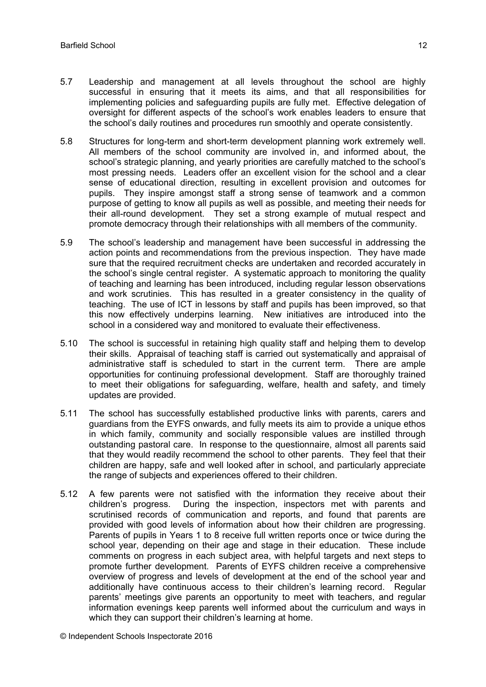- 5.7 Leadership and management at all levels throughout the school are highly successful in ensuring that it meets its aims, and that all responsibilities for implementing policies and safeguarding pupils are fully met. Effective delegation of oversight for different aspects of the school's work enables leaders to ensure that the school's daily routines and procedures run smoothly and operate consistently.
- 5.8 Structures for long-term and short-term development planning work extremely well. All members of the school community are involved in, and informed about, the school's strategic planning, and yearly priorities are carefully matched to the school's most pressing needs. Leaders offer an excellent vision for the school and a clear sense of educational direction, resulting in excellent provision and outcomes for pupils. They inspire amongst staff a strong sense of teamwork and a common purpose of getting to know all pupils as well as possible, and meeting their needs for their all-round development. They set a strong example of mutual respect and promote democracy through their relationships with all members of the community.
- 5.9 The school's leadership and management have been successful in addressing the action points and recommendations from the previous inspection. They have made sure that the required recruitment checks are undertaken and recorded accurately in the school's single central register. A systematic approach to monitoring the quality of teaching and learning has been introduced, including regular lesson observations and work scrutinies. This has resulted in a greater consistency in the quality of teaching. The use of ICT in lessons by staff and pupils has been improved, so that this now effectively underpins learning. New initiatives are introduced into the school in a considered way and monitored to evaluate their effectiveness.
- 5.10 The school is successful in retaining high quality staff and helping them to develop their skills. Appraisal of teaching staff is carried out systematically and appraisal of administrative staff is scheduled to start in the current term. There are ample opportunities for continuing professional development. Staff are thoroughly trained to meet their obligations for safeguarding, welfare, health and safety, and timely updates are provided.
- 5.11 The school has successfully established productive links with parents, carers and guardians from the EYFS onwards, and fully meets its aim to provide a unique ethos in which family, community and socially responsible values are instilled through outstanding pastoral care. In response to the questionnaire, almost all parents said that they would readily recommend the school to other parents. They feel that their children are happy, safe and well looked after in school, and particularly appreciate the range of subjects and experiences offered to their children.
- 5.12 A few parents were not satisfied with the information they receive about their children's progress. During the inspection, inspectors met with parents and scrutinised records of communication and reports, and found that parents are provided with good levels of information about how their children are progressing. Parents of pupils in Years 1 to 8 receive full written reports once or twice during the school year, depending on their age and stage in their education. These include comments on progress in each subject area, with helpful targets and next steps to promote further development. Parents of EYFS children receive a comprehensive overview of progress and levels of development at the end of the school year and additionally have continuous access to their children's learning record. Regular parents' meetings give parents an opportunity to meet with teachers, and regular information evenings keep parents well informed about the curriculum and ways in which they can support their children's learning at home.